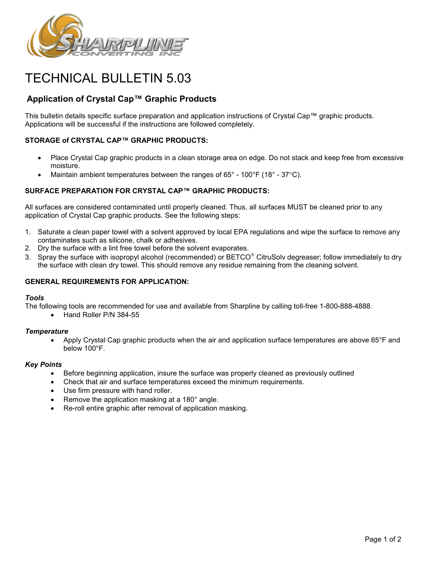

# TECHNICAL BULLETIN 5.03

# **Application of Crystal Cap™ Graphic Products**

This bulletin details specific surface preparation and application instructions of Crystal Cap™ graphic products. Applications will be successful if the instructions are followed completely.

# **STORAGE of CRYSTAL CAP™ GRAPHIC PRODUCTS:**

- Place Crystal Cap graphic products in a clean storage area on edge. Do not stack and keep free from excessive moisture.
- Maintain ambient temperatures between the ranges of  $65^{\circ}$  100 $^{\circ}$ F (18 $^{\circ}$  37 $^{\circ}$ C).

# **SURFACE PREPARATION FOR CRYSTAL CAP™ GRAPHIC PRODUCTS:**

All surfaces are considered contaminated until properly cleaned. Thus, all surfaces MUST be cleaned prior to any application of Crystal Cap graphic products. See the following steps:

- 1. Saturate a clean paper towel with a solvent approved by local EPA regulations and wipe the surface to remove any contaminates such as silicone, chalk or adhesives.
- 2. Dry the surface with a lint free towel before the solvent evaporates.
- 3. Spray the surface with isopropyl alcohol (recommended) or BETCO® CitruSolv degreaser; follow immediately to dry the surface with clean dry towel. This should remove any residue remaining from the cleaning solvent.

# **GENERAL REQUIREMENTS FOR APPLICATION:**

## *Tools*

The following tools are recommended for use and available from Sharpline by calling toll-free 1-800-888-4888.

• Hand Roller P/N 384-55

#### *Temperature*

• Apply Crystal Cap graphic products when the air and application surface temperatures are above 65°F and below 100°F.

## *Key Points*

- Before beginning application, insure the surface was properly cleaned as previously outlined
- Check that air and surface temperatures exceed the minimum requirements.
- Use firm pressure with hand roller.
- Remove the application masking at a 180° angle.
- Re-roll entire graphic after removal of application masking.